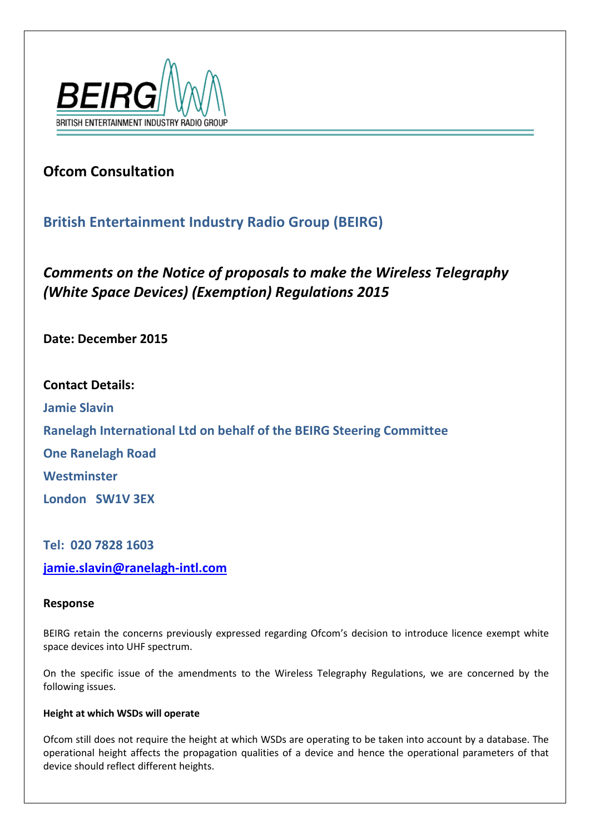

# **Ofcom Consultation**

## **British Entertainment Industry Radio Group (BEIRG)**

*Comments on the Notice of proposals to make the Wireless Telegraphy (White Space Devices) (Exemption) Regulations 2015*

**Date: December 2015**

**Contact Details: Jamie Slavin Ranelagh International Ltd on behalf of the BEIRG Steering Committee One Ranelagh Road Westminster London SW1V 3EX**

**Tel: 020 7828 1603 [jamie.slavin@ranelagh-intl.com](mailto:jamie.slavin@ranelagh-intl.com)**

### **Response**

BEIRG retain the concerns previously expressed regarding Ofcom's decision to introduce licence exempt white space devices into UHF spectrum.

On the specific issue of the amendments to the Wireless Telegraphy Regulations, we are concerned by the following issues.

### **Height at which WSDs will operate**

Ofcom still does not require the height at which WSDs are operating to be taken into account by a database. The operational height affects the propagation qualities of a device and hence the operational parameters of that device should reflect different heights.